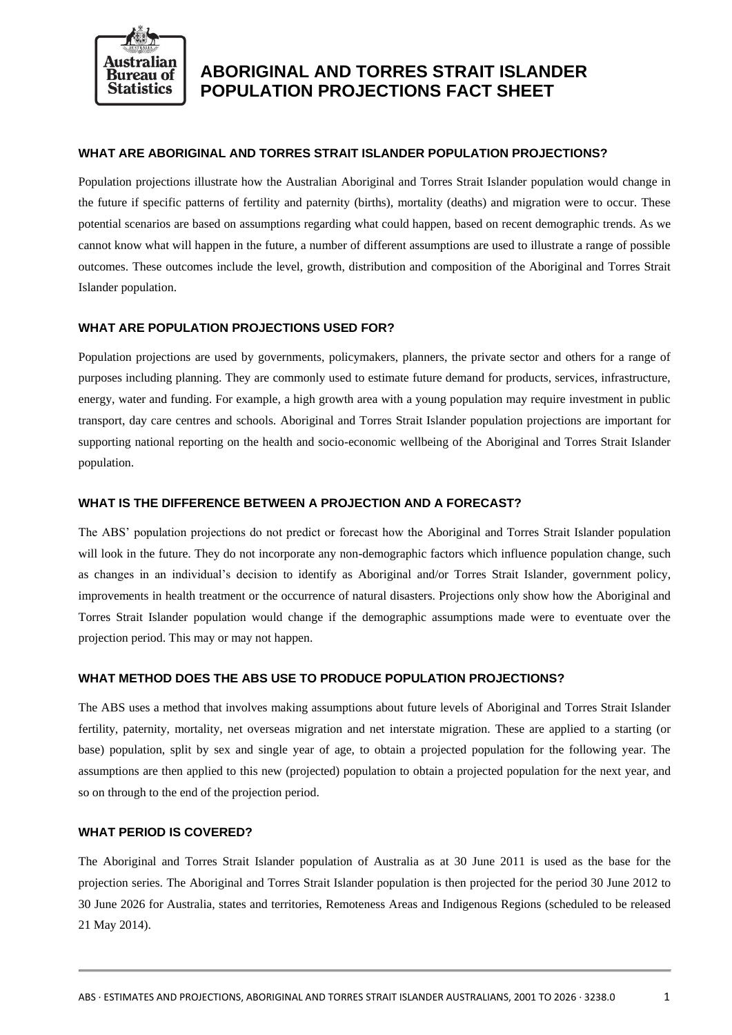

# **ABORIGINAL AND TORRES STRAIT ISLANDER POPULATION PROJECTIONS FACT SHEET**

# **WHAT ARE ABORIGINAL AND TORRES STRAIT ISLANDER POPULATION PROJECTIONS?**

Population projections illustrate how the Australian Aboriginal and Torres Strait Islander population would change in the future if specific patterns of fertility and paternity (births), mortality (deaths) and migration were to occur. These potential scenarios are based on assumptions regarding what could happen, based on recent demographic trends. As we cannot know what will happen in the future, a number of different assumptions are used to illustrate a range of possible outcomes. These outcomes include the level, growth, distribution and composition of the Aboriginal and Torres Strait Islander population.

## **WHAT ARE POPULATION PROJECTIONS USED FOR?**

Population projections are used by governments, policymakers, planners, the private sector and others for a range of purposes including planning. They are commonly used to estimate future demand for products, services, infrastructure, energy, water and funding. For example, a high growth area with a young population may require investment in public transport, day care centres and schools. Aboriginal and Torres Strait Islander population projections are important for supporting national reporting on the health and socio-economic wellbeing of the Aboriginal and Torres Strait Islander population.

#### **WHAT IS THE DIFFERENCE BETWEEN A PROJECTION AND A FORECAST?**

The ABS' population projections do not predict or forecast how the Aboriginal and Torres Strait Islander population will look in the future. They do not incorporate any non-demographic factors which influence population change, such as changes in an individual's decision to identify as Aboriginal and/or Torres Strait Islander, government policy, improvements in health treatment or the occurrence of natural disasters. Projections only show how the Aboriginal and Torres Strait Islander population would change if the demographic assumptions made were to eventuate over the projection period. This may or may not happen.

### **WHAT METHOD DOES THE ABS USE TO PRODUCE POPULATION PROJECTIONS?**

The ABS uses a method that involves making assumptions about future levels of Aboriginal and Torres Strait Islander fertility, paternity, mortality, net overseas migration and net interstate migration. These are applied to a starting (or base) population, split by sex and single year of age, to obtain a projected population for the following year. The assumptions are then applied to this new (projected) population to obtain a projected population for the next year, and so on through to the end of the projection period.

## **WHAT PERIOD IS COVERED?**

The Aboriginal and Torres Strait Islander population of Australia as at 30 June 2011 is used as the base for the projection series. The Aboriginal and Torres Strait Islander population is then projected for the period 30 June 2012 to 30 June 2026 for Australia, states and territories, Remoteness Areas and Indigenous Regions (scheduled to be released 21 May 2014).